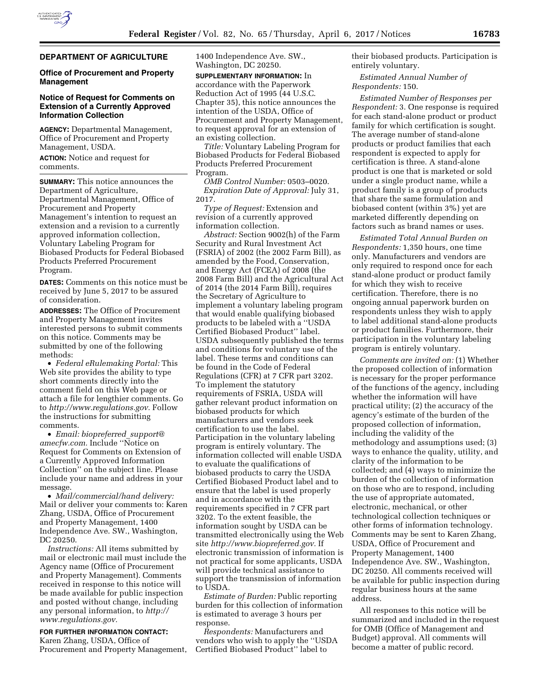# **DEPARTMENT OF AGRICULTURE**

#### **Office of Procurement and Property Management**

# **Notice of Request for Comments on Extension of a Currently Approved Information Collection**

**AGENCY:** Departmental Management, Office of Procurement and Property Management, USDA. **ACTION:** Notice and request for

comments.

**SUMMARY:** This notice announces the Department of Agriculture, Departmental Management, Office of Procurement and Property Management's intention to request an extension and a revision to a currently approved information collection, Voluntary Labeling Program for Biobased Products for Federal Biobased Products Preferred Procurement Program.

**DATES:** Comments on this notice must be received by June 5, 2017 to be assured of consideration.

**ADDRESSES:** The Office of Procurement and Property Management invites interested persons to submit comments on this notice. Comments may be submitted by one of the following methods:

• *Federal eRulemaking Portal:* This Web site provides the ability to type short comments directly into the comment field on this Web page or attach a file for lengthier comments. Go to *[http://www.regulations.gov.](http://www.regulations.gov)* Follow the instructions for submitting comments.

• *Email: [biopreferred](mailto:biopreferred_support@amecfw.com)*\_*support@ [amecfw.com.](mailto:biopreferred_support@amecfw.com)* Include ''Notice on Request for Comments on Extension of a Currently Approved Information Collection'' on the subject line. Please include your name and address in your message.

• *Mail/commercial/hand delivery:*  Mail or deliver your comments to: Karen Zhang, USDA, Office of Procurement and Property Management, 1400 Independence Ave. SW., Washington, DC 20250.

*Instructions:* All items submitted by mail or electronic mail must include the Agency name (Office of Procurement and Property Management). Comments received in response to this notice will be made available for public inspection and posted without change, including any personal information, to *[http://](http://www.regulations.gov) [www.regulations.gov.](http://www.regulations.gov)* 

# **FOR FURTHER INFORMATION CONTACT:**  Karen Zhang, USDA, Office of

Procurement and Property Management,

1400 Independence Ave. SW., Washington, DC 20250.

**SUPPLEMENTARY INFORMATION:** In accordance with the Paperwork Reduction Act of 1995 (44 U.S.C. Chapter 35), this notice announces the intention of the USDA, Office of Procurement and Property Management, to request approval for an extension of an existing collection.

*Title:* Voluntary Labeling Program for Biobased Products for Federal Biobased Products Preferred Procurement Program.

*OMB Control Number:* 0503–0020. *Expiration Date of Approval:* July 31, 2017.

*Type of Request:* Extension and revision of a currently approved information collection.

*Abstract:* Section 9002(h) of the Farm Security and Rural Investment Act (FSRIA) of 2002 (the 2002 Farm Bill), as amended by the Food, Conservation, and Energy Act (FCEA) of 2008 (the 2008 Farm Bill) and the Agricultural Act of 2014 (the 2014 Farm Bill), requires the Secretary of Agriculture to implement a voluntary labeling program that would enable qualifying biobased products to be labeled with a ''USDA Certified Biobased Product'' label. USDA subsequently published the terms and conditions for voluntary use of the label. These terms and conditions can be found in the Code of Federal Regulations (CFR) at 7 CFR part 3202. To implement the statutory requirements of FSRIA, USDA will gather relevant product information on biobased products for which manufacturers and vendors seek certification to use the label. Participation in the voluntary labeling program is entirely voluntary. The information collected will enable USDA to evaluate the qualifications of biobased products to carry the USDA Certified Biobased Product label and to ensure that the label is used properly and in accordance with the requirements specified in 7 CFR part 3202. To the extent feasible, the information sought by USDA can be transmitted electronically using the Web site *[http://www.biopreferred.gov.](http://www.biopreferred.gov)* If electronic transmission of information is not practical for some applicants, USDA will provide technical assistance to support the transmission of information to USDA.

*Estimate of Burden:* Public reporting burden for this collection of information is estimated to average 3 hours per response.

*Respondents:* Manufacturers and vendors who wish to apply the ''USDA Certified Biobased Product'' label to

their biobased products. Participation is entirely voluntary.

*Estimated Annual Number of Respondents:* 150.

*Estimated Number of Responses per Respondent:* 3. One response is required for each stand-alone product or product family for which certification is sought. The average number of stand-alone products or product families that each respondent is expected to apply for certification is three. A stand-alone product is one that is marketed or sold under a single product name, while a product family is a group of products that share the same formulation and biobased content (within 3%) yet are marketed differently depending on factors such as brand names or uses.

*Estimated Total Annual Burden on Respondents:* 1,350 hours, one time only. Manufacturers and vendors are only required to respond once for each stand-alone product or product family for which they wish to receive certification. Therefore, there is no ongoing annual paperwork burden on respondents unless they wish to apply to label additional stand-alone products or product families. Furthermore, their participation in the voluntary labeling program is entirely voluntary.

*Comments are invited on:* (1) Whether the proposed collection of information is necessary for the proper performance of the functions of the agency, including whether the information will have practical utility; (2) the accuracy of the agency's estimate of the burden of the proposed collection of information, including the validity of the methodology and assumptions used; (3) ways to enhance the quality, utility, and clarity of the information to be collected; and (4) ways to minimize the burden of the collection of information on those who are to respond, including the use of appropriate automated, electronic, mechanical, or other technological collection techniques or other forms of information technology. Comments may be sent to Karen Zhang, USDA, Office of Procurement and Property Management, 1400 Independence Ave. SW., Washington, DC 20250. All comments received will be available for public inspection during regular business hours at the same address.

All responses to this notice will be summarized and included in the request for OMB (Office of Management and Budget) approval. All comments will become a matter of public record.